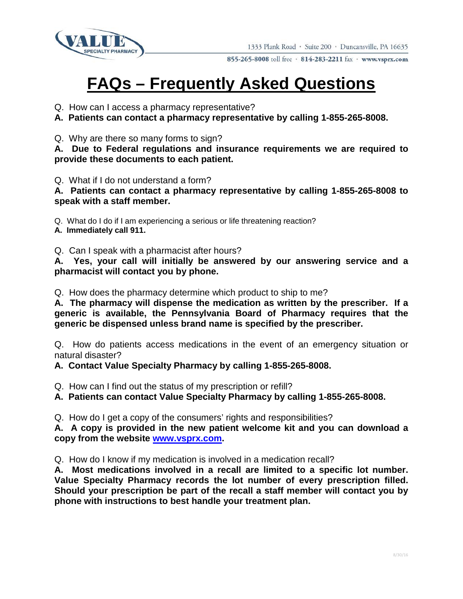

855-265-8008 toll free · 814-283-2211 fax · www.vsprx.com

## **FAQs – Frequently Asked Questions**

- Q. How can I access a pharmacy representative?
- **A. Patients can contact a pharmacy representative by calling 1-855-265-8008.**
- Q. Why are there so many forms to sign?

**A. Due to Federal regulations and insurance requirements we are required to provide these documents to each patient.**

Q. What if I do not understand a form?

**A. Patients can contact a pharmacy representative by calling 1-855-265-8008 to speak with a staff member.**

Q. What do I do if I am experiencing a serious or life threatening reaction?

**A. Immediately call 911.**

Q. Can I speak with a pharmacist after hours?

**A. Yes, your call will initially be answered by our answering service and a pharmacist will contact you by phone.**

Q. How does the pharmacy determine which product to ship to me?

**A. The pharmacy will dispense the medication as written by the prescriber. If a generic is available, the Pennsylvania Board of Pharmacy requires that the generic be dispensed unless brand name is specified by the prescriber.**

Q. How do patients access medications in the event of an emergency situation or natural disaster?

## **A. Contact Value Specialty Pharmacy by calling 1-855-265-8008.**

- Q. How can I find out the status of my prescription or refill?
- **A. Patients can contact Value Specialty Pharmacy by calling 1-855-265-8008.**

Q. How do I get a copy of the consumers' rights and responsibilities?

**A. A copy is provided in the new patient welcome kit and you can download a copy from the website [www.vsprx.com.](http://www.vsprx.com/)** 

Q. How do I know if my medication is involved in a medication recall?

**A. Most medications involved in a recall are limited to a specific lot number. Value Specialty Pharmacy records the lot number of every prescription filled. Should your prescription be part of the recall a staff member will contact you by phone with instructions to best handle your treatment plan.**